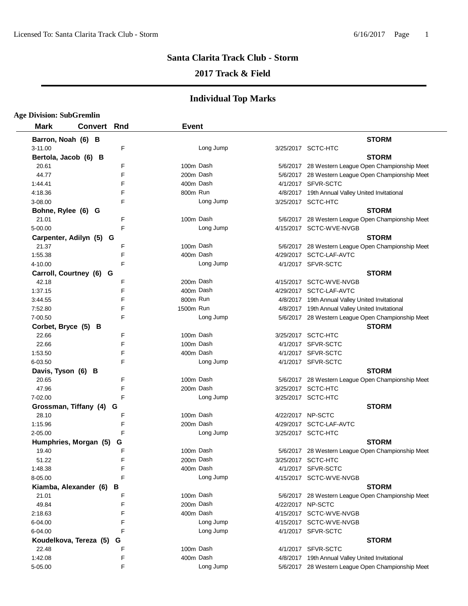#### **Santa Clarita Track Club - Storm**

#### **2017 Track & Field**

#### **Individual Top Marks**

#### **Age Division: SubGremlin Mark Convert Rnd Event Barron, Noah (6) B STORM** 3-11.00 F Long Jump 3/25/2017 SCTC-HTC **Bertola, Jacob (6) B STORM** 20.61 The Superson of the Superson of the Dash 5/6/2017 28 Western League Open Championship Meet 44.77 **F** F 200m Dash 5/6/2017 28 Western League Open Championship Meet 1:44.41 **F** 400m Dash 4/1/2017 SFVR-SCTC 4:18.36 F Research Com Run 800m Run 4/8/2017 19th Annual Valley United Invitational 3-08.00 F Long Jump 3/25/2017 SCTC-HTC **Bohne, Rylee (6) G STORM** 21.01 **F** F 100m Dash 5/6/2017 28 Western League Open Championship Meet 5-00.00 F Long Jump 4/15/2017 SCTC-WVE-NVGB **Carpenter, Adilyn (5) G STORM** 21.37 **F** F 100m Dash 5/6/2017 28 Western League Open Championship Meet 1:55.38 **F** Research H 200m Dash 4/29/2017 SCTC-LAF-AVTC 4-10.00 **F** F Long Jump 4/1/2017 SFVR-SCTC **Carroll, Courtney (6) G STORM** 42.18 **F** 200m Dash 4/15/2017 SCTC-WVE-NVGB 1:37.15 **F** F 400m Dash 4/29/2017 SCTC-LAF-AVTC 3:44.55 F 800m Run 4/8/2017 19th Annual Valley United Invitational 7:52.80 **F** F Tessen and The Manual Valley United Invitational Property 1500m Run Communist Communist AVI Annual Valley United Invitational 7-00.50 F Long Jump 5/6/2017 28 Western League Open Championship Meet **Corbet, Bryce (5) B STORM** 22.66 **F** 100m Dash 3/25/2017 SCTC-HTC 22.66 **100m Dash 4/1/2017 SFVR-SCTC** 1:53.50 **F** 400m Dash 4/1/2017 SFVR-SCTC 6-03.50 F Long Jump 4/1/2017 SFVR-SCTC **Davis, Tyson (6) B STORM** 20.65 The Superinten of the Dash 5/6/2017 28 Western League Open Championship Meet 47.96 **E** F 200m Dash 3/25/2017 SCTC-HTC 7-02.00 F Long Jump 3/25/2017 SCTC-HTC **Grossman, Tiffany (4) G STORM** 28.10 **F** F 100m Dash 4/22/2017 NP-SCTC 1:15.96 **F** 200m Dash 4/29/2017 SCTC-LAF-AVTC 2-05.00 F Long Jump 3/25/2017 SCTC-HTC **Humphries, Morgan (5) G**<br>19.40 TORM F 100m Dash 5/6/2017 28 Western League Open Cham 19.40 **F** The Mash 5/6/2017 28 Western League Open Championship Meet 51.22 **F** 200m Dash 3/25/2017 SCTC-HTC 1:48.38 **F** A00m Dash 4/1/2017 SFVR-SCTC 8-05.00 F F Long Jump 4/15/2017 SCTC-WVE-NVGB **Kiamba, Alexander (6) B STORM** 21.01 **F** F 100m Dash 5/6/2017 28 Western League Open Championship Meet 49.84 200m F Dash 4/22/2017 NP-SCTC 2:18.63 4 F 00m Dash 4/15/2017 SCTC-WVE-NVGB 6-04.00 F Long Jump 4/15/2017 SCTC-WVE-NVGB 6-04.00 F Long Jump 4/1/2017 SFVR-SCTC **Koudelkova, Tereza (5) G STORM** 22.48 **F** 100m Dash 4/1/2017 SFVR-SCTC 1:42.08 **F** F 400m Dash 4/8/2017 19th Annual Valley United Invitational 5-05.00 F Long Jump 5/6/2017 28 Western League Open Championship Meet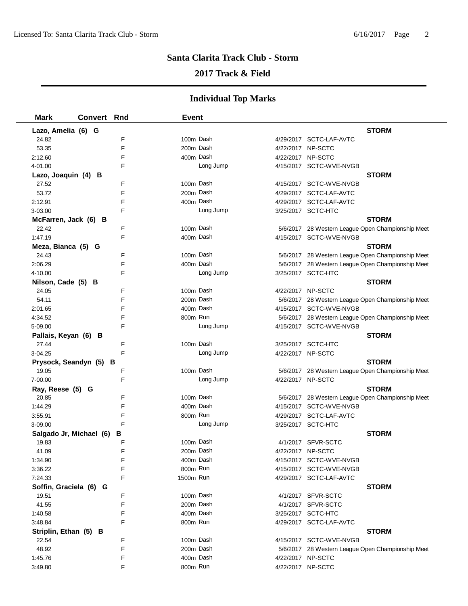## **Santa Clarita Track Club - Storm**

# **2017 Track & Field**

# **Individual Top Marks**

| <b>Mark</b>           | <b>Convert Rnd</b>      |        | <b>Event</b> |           |                                                   |
|-----------------------|-------------------------|--------|--------------|-----------|---------------------------------------------------|
| Lazo, Amelia (6) G    |                         |        |              |           | <b>STORM</b>                                      |
| 24.82                 |                         | F      | 100m Dash    |           | 4/29/2017 SCTC-LAF-AVTC                           |
| 53.35                 |                         | F      | 200m Dash    |           | 4/22/2017 NP-SCTC                                 |
| 2:12.60               |                         | F      | 400m Dash    |           | 4/22/2017 NP-SCTC                                 |
| 4-01.00               |                         | F      |              | Long Jump | 4/15/2017 SCTC-WVE-NVGB                           |
| Lazo, Joaquin (4) B   |                         |        |              |           | <b>STORM</b>                                      |
| 27.52                 |                         | F      | 100m Dash    |           | 4/15/2017 SCTC-WVE-NVGB                           |
| 53.72                 |                         | F      | 200m Dash    |           | 4/29/2017 SCTC-LAF-AVTC                           |
| 2:12.91               |                         | F      | 400m Dash    |           | 4/29/2017 SCTC-LAF-AVTC                           |
| 3-03.00               |                         | F      |              | Long Jump | 3/25/2017 SCTC-HTC                                |
| McFarren, Jack (6) B  |                         |        |              |           | <b>STORM</b>                                      |
| 22.42                 |                         | F      | 100m Dash    |           | 5/6/2017 28 Western League Open Championship Meet |
| 1:47.19               |                         | F      | 400m Dash    |           | 4/15/2017 SCTC-WVE-NVGB                           |
| Meza, Bianca (5) G    |                         |        |              |           | <b>STORM</b>                                      |
| 24.43                 |                         | F      | 100m Dash    |           | 5/6/2017 28 Western League Open Championship Meet |
| 2:06.29               |                         | F      | 400m Dash    |           | 5/6/2017 28 Western League Open Championship Meet |
| 4-10.00               |                         | F      |              | Long Jump | 3/25/2017 SCTC-HTC                                |
| Nilson, Cade (5) B    |                         |        |              |           | <b>STORM</b>                                      |
| 24.05                 |                         | F      | 100m Dash    |           | 4/22/2017 NP-SCTC                                 |
| 54.11                 |                         | F      | 200m Dash    |           | 5/6/2017 28 Western League Open Championship Meet |
| 2:01.65               |                         | F      | 400m Dash    |           | 4/15/2017 SCTC-WVE-NVGB                           |
| 4:34.52               |                         | F      | 800m Run     |           | 5/6/2017 28 Western League Open Championship Meet |
| 5-09.00               |                         | F      |              | Long Jump | 4/15/2017 SCTC-WVE-NVGB                           |
| Pallais, Keyan (6) B  |                         |        |              |           | <b>STORM</b>                                      |
| 27.44                 |                         | F      | 100m Dash    |           | 3/25/2017 SCTC-HTC                                |
| 3-04.25               |                         | F      |              | Long Jump | 4/22/2017 NP-SCTC                                 |
|                       | Prysock, Seandyn (5) B  |        |              |           | <b>STORM</b>                                      |
| 19.05                 |                         | F      | 100m Dash    |           | 5/6/2017 28 Western League Open Championship Meet |
| 7-00.00               |                         | F      |              | Long Jump | 4/22/2017 NP-SCTC                                 |
| Ray, Reese (5) G      |                         |        |              |           | <b>STORM</b>                                      |
| 20.85                 |                         | F      | 100m Dash    |           | 5/6/2017 28 Western League Open Championship Meet |
| 1:44.29               |                         | F      | 400m Dash    |           | 4/15/2017 SCTC-WVE-NVGB                           |
| 3:55.91               |                         | F      | 800m Run     |           | 4/29/2017 SCTC-LAF-AVTC                           |
| 3-09.00               |                         | F      |              | Long Jump | 3/25/2017 SCTC-HTC                                |
|                       | Salgado Jr, Michael (6) | в      |              |           | <b>STORM</b>                                      |
| 19.83                 |                         | F      | 100m Dash    |           | 4/1/2017 SFVR-SCTC                                |
| 41.09                 |                         | F      | 200m Dash    |           | 4/22/2017 NP-SCTC                                 |
| 1:34.90               |                         | F      | 400m Dash    |           | 4/15/2017 SCTC-WVE-NVGB                           |
| 3:36.22               |                         | F      | 800m Run     |           | 4/15/2017 SCTC-WVE-NVGB                           |
| 7:24.33               |                         | F      | 1500m Run    |           | 4/29/2017 SCTC-LAF-AVTC                           |
|                       | Soffin, Graciela (6) G  |        |              |           | <b>STORM</b>                                      |
| 19.51                 |                         | F      | 100m Dash    |           | 4/1/2017 SFVR-SCTC                                |
| 41.55                 |                         | F      | 200m Dash    |           | 4/1/2017 SFVR-SCTC                                |
| 1:40.58               |                         | F      | 400m Dash    |           | 3/25/2017 SCTC-HTC                                |
| 3:48.84               |                         | F      | 800m Run     |           | 4/29/2017 SCTC-LAF-AVTC                           |
| Striplin, Ethan (5) B |                         |        |              |           | <b>STORM</b>                                      |
| 22.54                 |                         | F      | 100m Dash    |           | 4/15/2017 SCTC-WVE-NVGB                           |
| 48.92                 |                         | F      | 200m Dash    |           | 5/6/2017 28 Western League Open Championship Meet |
| 1:45.76               |                         | F<br>F | 400m Dash    |           | 4/22/2017 NP-SCTC                                 |
| 3:49.80               |                         |        | 800m Run     |           | 4/22/2017 NP-SCTC                                 |